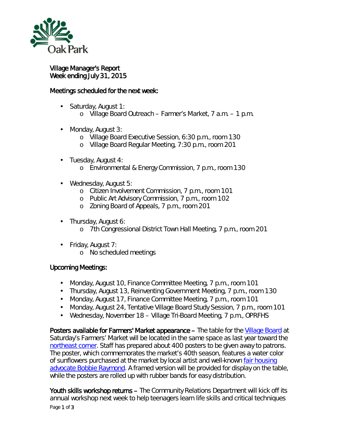

Village Manager's Report Week ending July 31, 2015

## Meetings scheduled for the next week:

- Saturday, August 1: ä,
	- o Village Board Outreach Farmer's Market, 7 a.m. 1 p.m.
- Monday, August 3: ä,
	- o Village Board Executive Session, 6:30 p.m., room 130
	- o Village Board Regular Meeting, 7:30 p.m., room 201
- Tuesday, August 4:
	- o Environmental & Energy Commission, 7 p.m., room 130
- Wednesday, August 5:
	- o Citizen Involvement Commission, 7 p.m., room 101
	- o Public Art Advisory Commission, 7 p.m., room 102
	- o Zoning Board of Appeals, 7 p.m., room 201
- Thursday, August 6:
	- o 7th Congressional District Town Hall Meeting, 7 p.m., room 201
- Friday, August 7:
	- o No scheduled meetings

## Upcoming Meetings:

- Monday, August 10, Finance Committee Meeting, 7 p.m., room 101  $\mathcal{L}^{\text{max}}$
- Thursday, August 13, Reinventing Government Meeting, 7 p.m., room 130
- Monday, August 17, Finance Committee Meeting, 7 p.m., room 101
- Monday, August 24, Tentative Village Board Study Session, 7 p.m., room 101  $\mathbf{r}$
- Wednesday, November 18 Village Tri-Board Meeting, 7 p.m., OPRFHS

Posters available for Farmers' Market appearance – The table for the [Village Board](http://r20.rs6.net/tn.jsp?e=001h95hafT5RamslKVJv40HFzRYnRVrjIzf62TlrFdvwlUuEZZyoe0YFkxRl0REnZW4BvwCw9CB948SuLAR1SdF-9t7P5k-3lDg0sm3F4Wbv_rwkLWBwRb5xcwgA_o7iwaabuf0ECV3wQWm6uMeBkihHA==) at Saturday's Farmers' Market will be located in the same space as last year toward the [northeast corner.](http://www.oak-park.us/sites/default/files/farmers-market/2015-vendor-map-directory.pdf) Staff has prepared about 400 posters to be given away to patrons. The poster, which commemorates the market's 40th season, features a water color of sunflowers purchased at the market by local artist and well-known fair [housing](http://www.oak-park.us/your-government/village-manager/village-hall/village-hall-wall-fame) [advocate Bobbie Raymond.](http://www.oak-park.us/your-government/village-manager/village-hall/village-hall-wall-fame) A framed version will be provided for display on the table, while the posters are rolled up with rubber bands for easy distribution.

Page 1 of 3 Youth skills workshop returns – The Community Relations Department will kick off its annual workshop next week to help teenagers learn life skills and critical techniques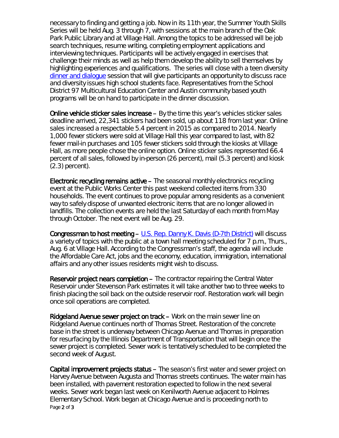necessary to finding and getting a job. Now in its 11th year, the *Summer Youth Skills Series* will be held Aug. 3 through 7, with sessions at the main branch of the Oak Park Public Library and at Village Hall. Among the topics to be addressed will be job search techniques, resume writing, completing employment applications and interviewing techniques. Participants will be actively engaged in exercises that challenge their minds as well as help them develop the ability to sell themselves by highlighting experiences and qualifications. The series will close with a teen diversity [dinner and dialogue](http://www.oak-park.us/our-community/community-relations/dinner-dialogue) session that will give participants an opportunity to discuss race and diversity issues high school students face. Representatives from the School District 97 Multicultural Education Center and Austin community based youth programs will be on hand to participate in the dinner discussion.

Online vehicle sticker sales increase – By the time this year's vehicles sticker sales deadline arrived, 22,341 stickers had been sold, up about 118 from last year. Online sales increased a respectable 5.4 percent in 2015 as compared to 2014. Nearly 1,000 fewer stickers were sold at Village Hall this year compared to last, with 82 fewer mail-in purchases and 105 fewer stickers sold through the kiosks at Village Hall, as more people chose the online option. Online sticker sales represented 66.4 percent of all sales, followed by in-person (26 percent), mail (5.3 percent) and kiosk (2.3) percent).

Electronic recycling remains active – The seasonal monthly electronics recycling event at the Public Works Center this past weekend collected items from 330 households. The event continues to prove popular among residents as a convenient way to safely dispose of unwanted electronic items that are no longer allowed in landfills. The collection events are held the last Saturday of each month from May through October. The next event will be Aug. 29.

Congressman to host meeting  $- U.S.$  Rep. Danny K. Davis (D-7th District) will discuss a variety of topics with the public at a town hall meeting scheduled for 7 p.m., Thurs., Aug. 6 at Village Hall. According to the Congressman's staff, the agenda will include the Affordable Care Act, jobs and the economy, education, immigration, international affairs and any other issues residents might wish to discuss.

Reservoir project nears completion – The contractor repairing the Central Water Reservoir under Stevenson Park estimates it will take another two to three weeks to finish placing the soil back on the outside reservoir roof. Restoration work will begin once soil operations are completed.

Ridgeland Avenue sewer project on track – Work on the main sewer line on Ridgeland Avenue continues north of Thomas Street. Restoration of the concrete base in the street is underway between Chicago Avenue and Thomas in preparation for resurfacing by the Illinois Department of Transportation that will begin once the sewer project is completed. Sewer work is tentatively scheduled to be completed the second week of August.

Page 2 of 3 Capital improvement projects status – The season's first water and sewer project on Harvey Avenue between Augusta and Thomas streets continues. The water main has been installed, with pavement restoration expected to follow in the next several weeks. Sewer work began last week on Kenilworth Avenue adjacent to Holmes Elementary School. Work began at Chicago Avenue and is proceeding north to